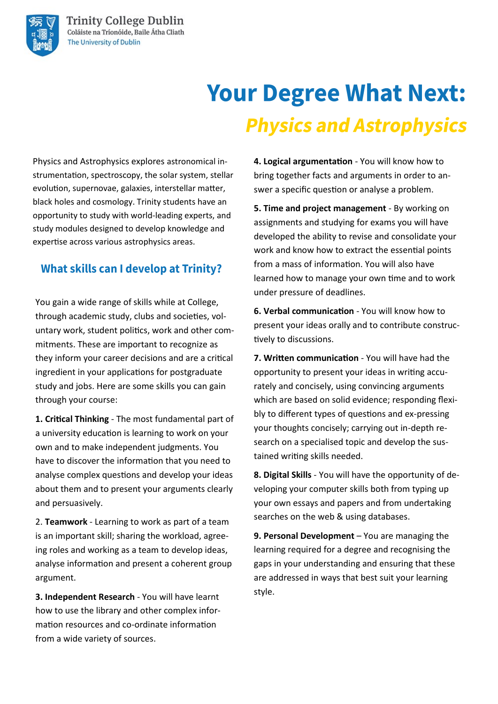# **Your Degree What Next: Physics and Astrophysics**

Physics and Astrophysics explores astronomical instrumentation, spectroscopy, the solar system, stellar evolution, supernovae, galaxies, interstellar matter, black holes and cosmology. Trinity students have an opportunity to study with world-leading experts, and study modules designed to develop knowledge and expertise across various astrophysics areas.

### **What skills can I develop at Trinity?**

You gain a wide range of skills while at College, through academic study, clubs and societies, voluntary work, student politics, work and other commitments. These are important to recognize as they inform your career decisions and are a critical ingredient in your applications for postgraduate study and jobs. Here are some skills you can gain through your course:

**1. Critical Thinking** - The most fundamental part of a university education is learning to work on your own and to make independent judgments. You have to discover the information that you need to analyse complex questions and develop your ideas about them and to present your arguments clearly and persuasively.

2. **Teamwork** - Learning to work as part of a team is an important skill; sharing the workload, agreeing roles and working as a team to develop ideas, analyse information and present a coherent group argument.

**3. Independent Research** - You will have learnt how to use the library and other complex information resources and co-ordinate information from a wide variety of sources.

**4. Logical argumentation** - You will know how to bring together facts and arguments in order to answer a specific question or analyse a problem.

**5. Time and project management** - By working on assignments and studying for exams you will have developed the ability to revise and consolidate your work and know how to extract the essential points from a mass of information. You will also have learned how to manage your own time and to work under pressure of deadlines.

**6. Verbal communication** - You will know how to present your ideas orally and to contribute constructively to discussions.

**7. Written communication** - You will have had the opportunity to present your ideas in writing accurately and concisely, using convincing arguments which are based on solid evidence; responding flexibly to different types of questions and ex-pressing your thoughts concisely; carrying out in-depth research on a specialised topic and develop the sustained writing skills needed.

**8. Digital Skills** - You will have the opportunity of developing your computer skills both from typing up your own essays and papers and from undertaking searches on the web & using databases.

**9. Personal Development** – You are managing the learning required for a degree and recognising the gaps in your understanding and ensuring that these are addressed in ways that best suit your learning style.